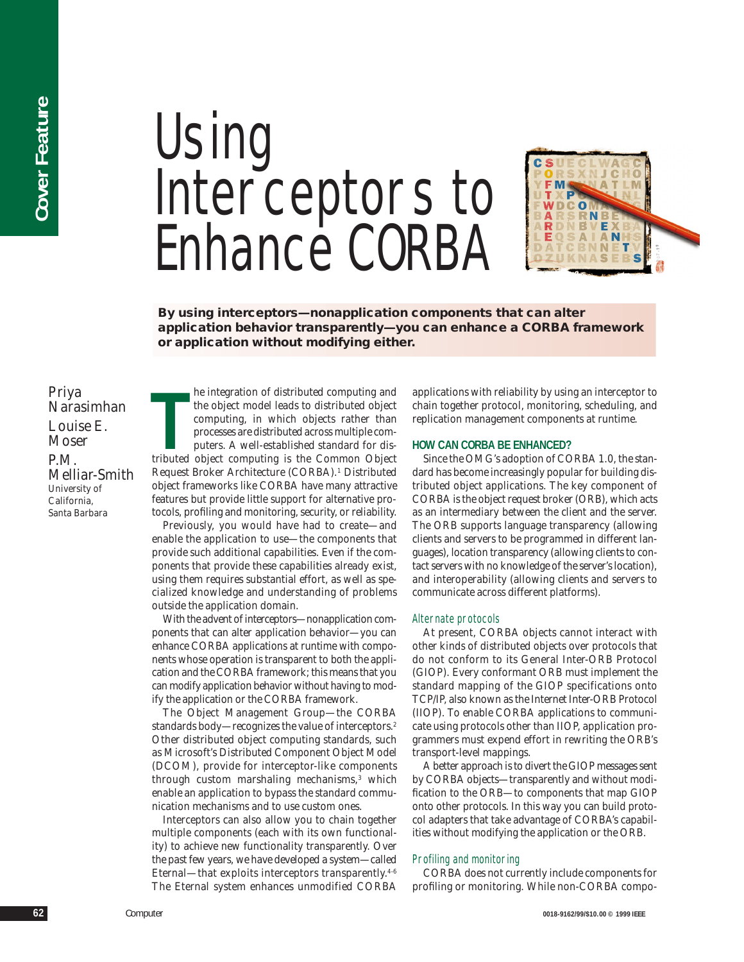# Using Interceptors to Enhance CORBA



**By using interceptors—nonapplication components that can alter application behavior transparently—you can enhance a CORBA framework or application without modifying either.**

*Priya Narasimhan Louise E. Moser P.M. Melliar-Smith* University of California, Santa Barbara

The integration of distributed computing and the object model leads to distributed object computing, in which objects rather than processes are distributed across multiple computers. A well-established standard for distrib he integration of distributed computing and the object model leads to distributed object computing, in which objects rather than processes are distributed across multiple computers. A well-established standard for dis-

Request Broker Architecture (CORBA).1 Distributed object frameworks like CORBA have many attractive features but provide little support for alternative protocols, profiling and monitoring, security, or reliability.

Previously, you would have had to create—and enable the application to use—the components that provide such additional capabilities. Even if the components that provide these capabilities already exist, using them requires substantial effort, as well as specialized knowledge and understanding of problems outside the application domain.

With the advent of *interceptors*—nonapplication components that can alter application behavior—you can enhance CORBA applications at runtime with components whose operation is transparent to both the application and the CORBA framework; this means that you can modify application behavior without having to modify the application or the CORBA framework.

The Object Management Group—the CORBA standards body—recognizes the value of interceptors.<sup>2</sup> Other distributed object computing standards, such as Microsoft's Distributed Component Object Model (DCOM), provide for interceptor-like components through *custom marshaling mechanisms*, <sup>3</sup> which enable an application to bypass the standard communication mechanisms and to use custom ones.

Interceptors can also allow you to chain together multiple components (each with its own functionality) to achieve new functionality transparently. Over the past few years, we have developed a system—called Eternal—that exploits interceptors transparently.4-6 The Eternal system enhances unmodified CORBA

applications with reliability by using an interceptor to chain together protocol, monitoring, scheduling, and replication management components at runtime.

## **HOW CAN CORBA BE ENHANCED?**

Since the OMG's adoption of CORBA 1.0, the standard has become increasingly popular for building distributed object applications. The key component of CORBA is the object request broker (ORB), which acts as an intermediary between the client and the server. The ORB supports language transparency (allowing clients and servers to be programmed in different languages), location transparency (allowing clients to contact servers with no knowledge of the server's location), and interoperability (allowing clients and servers to communicate across different platforms).

#### Alternate protocols

At present, CORBA objects cannot interact with other kinds of distributed objects over protocols that do not conform to its General Inter-ORB Protocol (GIOP). Every conformant ORB must implement the standard mapping of the GIOP specifications onto TCP/IP, also known as the Internet Inter-ORB Protocol (IIOP). To enable CORBA applications to communicate using protocols other than IIOP, application programmers must expend effort in rewriting the ORB's transport-level mappings.

A better approach is to divert the GIOP messages sent by CORBA objects—transparently and without modification to the ORB—to components that map GIOP onto other protocols. In this way you can build protocol adapters that take advantage of CORBA's capabilities without modifying the application or the ORB.

# Profiling and monitoring

CORBA does not currently include components for profiling or monitoring. While non-CORBA compo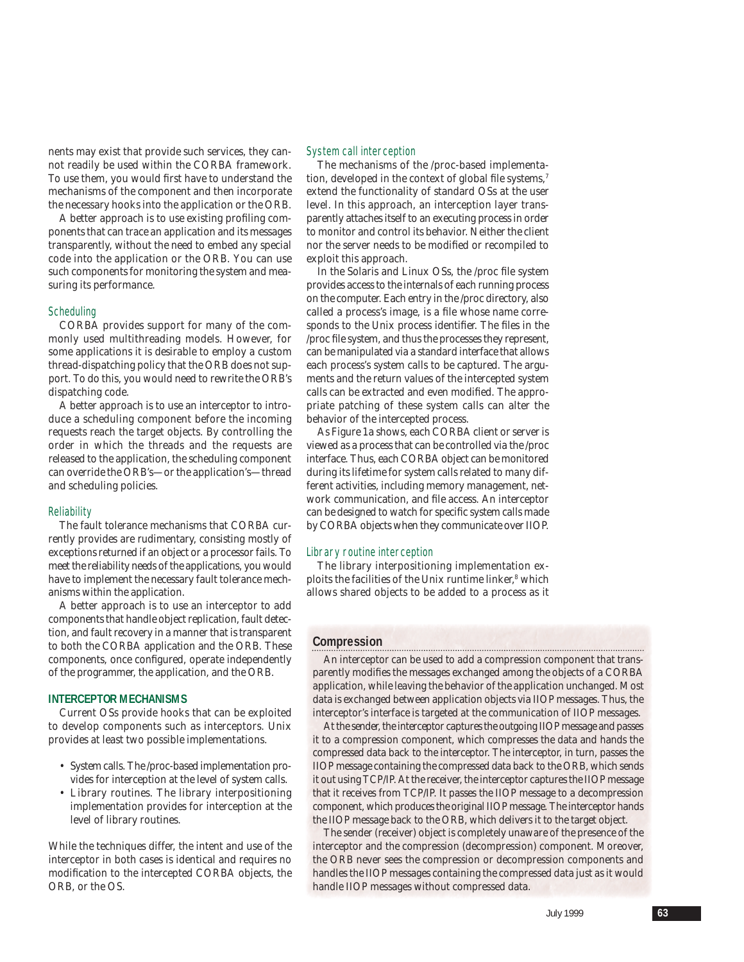nents may exist that provide such services, they cannot readily be used within the CORBA framework. To use them, you would first have to understand the mechanisms of the component and then incorporate the necessary hooks into the application or the ORB.

A better approach is to use existing profiling components that can trace an application and its messages transparently, without the need to embed any special code into the application or the ORB. You can use such components for monitoring the system and measuring its performance.

## **Scheduling**

CORBA provides support for many of the commonly used multithreading models. However, for some applications it is desirable to employ a custom thread-dispatching policy that the ORB does not support. To do this, you would need to rewrite the ORB's dispatching code.

A better approach is to use an interceptor to introduce a scheduling component before the incoming requests reach the target objects. By controlling the order in which the threads and the requests are released to the application, the scheduling component can override the ORB's—or the application's—thread and scheduling policies.

#### **Reliability**

The fault tolerance mechanisms that CORBA currently provides are rudimentary, consisting mostly of exceptions returned if an object or a processor fails. To meet the reliability needs of the applications, you would have to implement the necessary fault tolerance mechanisms within the application.

A better approach is to use an interceptor to add components that handle object replication, fault detection, and fault recovery in a manner that is transparent to both the CORBA application and the ORB. These components, once configured, operate independently of the programmer, the application, and the ORB.

#### **INTERCEPTOR MECHANISMS**

Current OSs provide hooks that can be exploited to develop components such as interceptors. Unix provides at least two possible implementations.

- *System calls*. The /proc-based implementation provides for interception at the level of system calls.
- *Library routines*. The library interpositioning implementation provides for interception at the level of library routines.

While the techniques differ, the intent and use of the interceptor in both cases is identical and requires no modification to the intercepted CORBA objects, the ORB, or the OS.

#### System call interception

The mechanisms of the /proc-based implementation, developed in the context of global file systems,7 extend the functionality of standard OSs at the user level. In this approach, an interception layer transparently attaches itself to an executing process in order to monitor and control its behavior. Neither the client nor the server needs to be modified or recompiled to exploit this approach.

In the Solaris and Linux OSs, the /proc file system provides access to the internals of each running process on the computer. Each entry in the /proc directory, also called a process's image, is a file whose name corresponds to the Unix process identifier. The files in the /proc file system, and thus the processes they represent, can be manipulated via a standard interface that allows each process's system calls to be captured. The arguments and the return values of the intercepted system calls can be extracted and even modified. The appropriate patching of these system calls can alter the behavior of the intercepted process.

As Figure 1a shows, each CORBA client or server is viewed as a process that can be controlled via the /proc interface. Thus, each CORBA object can be monitored during its lifetime for system calls related to many different activities, including memory management, network communication, and file access. An interceptor can be designed to watch for specific system calls made by CORBA objects when they communicate over IIOP.

# Library routine interception

The library interpositioning implementation exploits the facilities of the Unix runtime linker, <sup>8</sup> which allows shared objects to be added to a process as it

### **Compression**

An interceptor can be used to add a compression component that transparently modifies the messages exchanged among the objects of a CORBA application, while leaving the behavior of the application unchanged. Most data is exchanged between application objects via IIOP messages. Thus, the interceptor's interface is targeted at the communication of IIOP messages.

At the sender, the interceptor captures the outgoing IIOP message and passes it to a compression component, which compresses the data and hands the compressed data back to the interceptor. The interceptor, in turn, passes the IIOP message containing the compressed data back to the ORB, which sends it out using TCP/IP. At the receiver, the interceptor captures the IIOP message that it receives from TCP/IP. It passes the IIOP message to a decompression component, which produces the original IIOP message. The interceptor hands the IIOP message back to the ORB, which delivers it to the target object.

The sender (receiver) object is completely unaware of the presence of the interceptor and the compression (decompression) component. Moreover, the ORB never sees the compression or decompression components and handles the IIOP messages containing the compressed data just as it would handle IIOP messages without compressed data.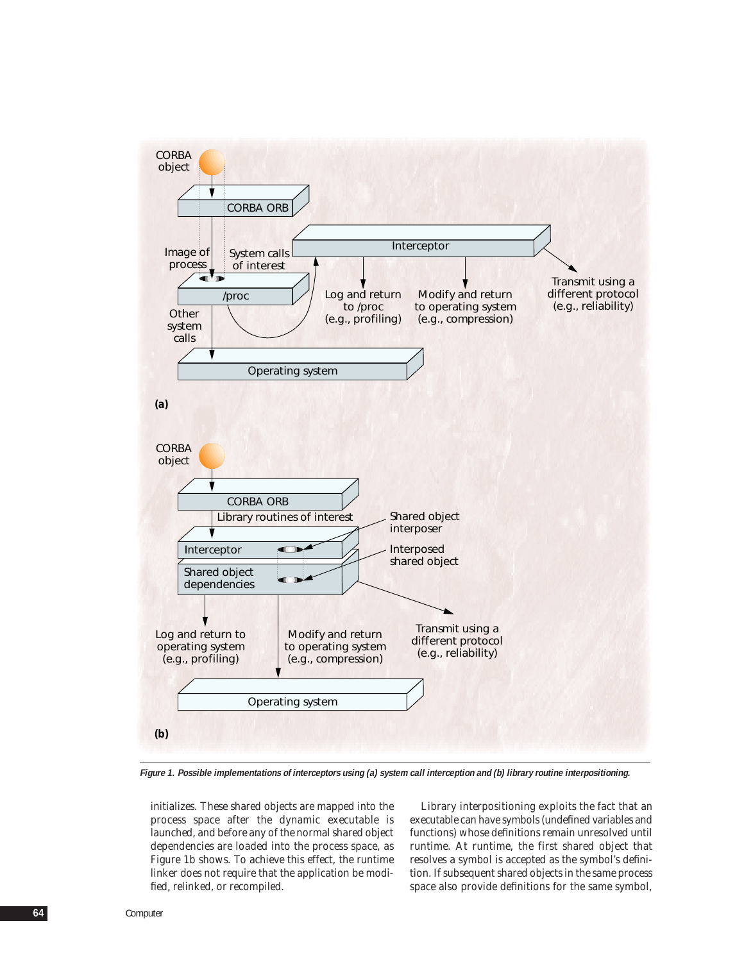

**Figure 1. Possible implementations of interceptors using (a) system call interception and (b) library routine interpositioning.**

initializes. These shared objects are mapped into the process space after the dynamic executable is launched, and before any of the normal shared object dependencies are loaded into the process space, as Figure 1b shows. To achieve this effect, the runtime linker does not require that the application be modified, relinked, or recompiled.

Library interpositioning exploits the fact that an executable can have symbols (undefined variables and functions) whose definitions remain unresolved until runtime. At runtime, the first shared object that resolves a symbol is accepted as the symbol's definition. If subsequent shared objects in the same process space also provide definitions for the same symbol,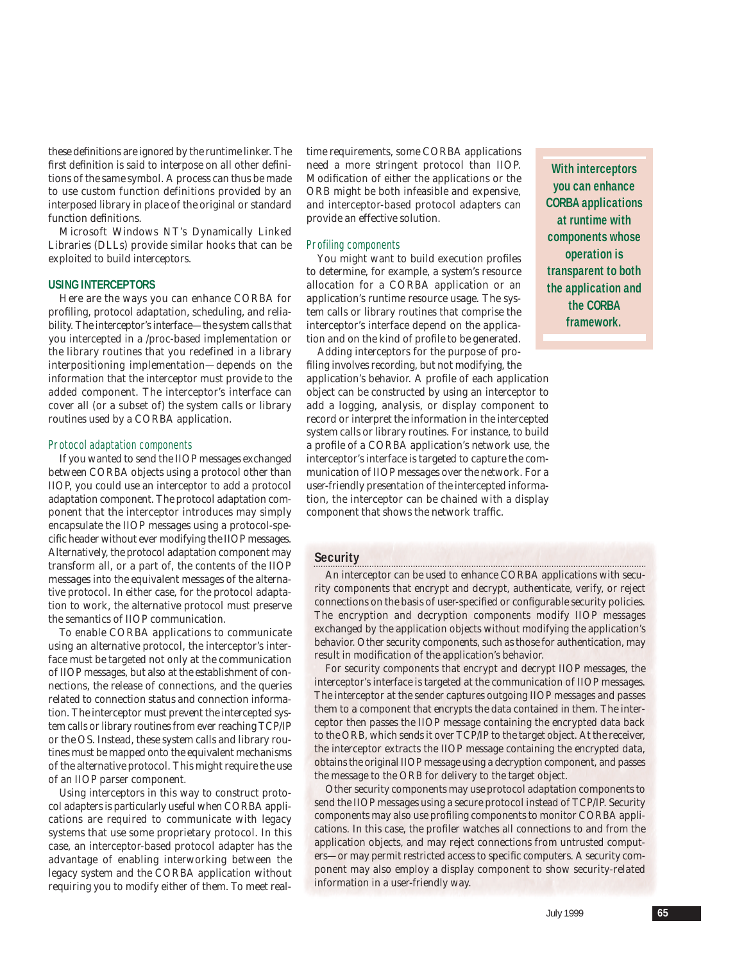these definitions are ignored by the runtime linker. The first definition is said to *interpose* on all other definitions of the same symbol. A process can thus be made to use custom function definitions provided by an interposed library in place of the original or standard function definitions.

Microsoft Windows NT's Dynamically Linked Libraries (DLLs) provide similar hooks that can be exploited to build interceptors.

## **USING INTERCEPTORS**

Here are the ways you can enhance CORBA for profiling, protocol adaptation, scheduling, and reliability. The interceptor's interface—the system calls that you intercepted in a /proc-based implementation or the library routines that you redefined in a library interpositioning implementation—depends on the information that the interceptor must provide to the added component. The interceptor's interface can cover all (or a subset of) the system calls or library routines used by a CORBA application.

#### Protocol adaptation components

If you wanted to send the IIOP messages exchanged between CORBA objects using a protocol other than IIOP, you could use an interceptor to add a protocol adaptation component. The protocol adaptation component that the interceptor introduces may simply encapsulate the IIOP messages using a protocol-specific header without ever modifying the IIOP messages. Alternatively, the protocol adaptation component may transform all, or a part of, the contents of the IIOP messages into the equivalent messages of the alternative protocol. In either case, for the protocol adaptation to work, the alternative protocol must preserve the semantics of IIOP communication.

To enable CORBA applications to communicate using an alternative protocol, the interceptor's interface must be targeted not only at the communication of IIOP messages, but also at the establishment of connections, the release of connections, and the queries related to connection status and connection information. The interceptor must prevent the intercepted system calls or library routines from ever reaching TCP/IP or the OS. Instead, these system calls and library routines must be mapped onto the equivalent mechanisms of the alternative protocol. This might require the use of an IIOP parser component.

Using interceptors in this way to construct protocol adapters is particularly useful when CORBA applications are required to communicate with legacy systems that use some proprietary protocol. In this case, an interceptor-based protocol adapter has the advantage of enabling interworking between the legacy system and the CORBA application without requiring you to modify either of them. To meet realtime requirements, some CORBA applications need a more stringent protocol than IIOP. Modification of either the applications or the ORB might be both infeasible and expensive, and interceptor-based protocol adapters can provide an effective solution.

## Profiling components

You might want to build execution profiles to determine, for example, a system's resource allocation for a CORBA application or an application's runtime resource usage. The system calls or library routines that comprise the interceptor's interface depend on the application and on the kind of profile to be generated.

Adding interceptors for the purpose of profiling involves recording, but not modifying, the application's behavior. A profile of each application object can be constructed by using an interceptor to add a logging, analysis, or display component to record or interpret the information in the intercepted system calls or library routines. For instance, to build a profile of a CORBA application's network use, the interceptor's interface is targeted to capture the communication of IIOP messages over the network. For a user-friendly presentation of the intercepted information, the interceptor can be chained with a display component that shows the network traffic.

**With interceptors you can enhance CORBA applications at runtime with components whose operation is transparent to both the application and the CORBA framework.**

#### **Security**

An interceptor can be used to enhance CORBA applications with security components that encrypt and decrypt, authenticate, verify, or reject connections on the basis of user-specified or configurable security policies. The encryption and decryption components modify IIOP messages exchanged by the application objects without modifying the application's behavior. Other security components, such as those for authentication, may result in modification of the application's behavior.

For security components that encrypt and decrypt IIOP messages, the interceptor's interface is targeted at the communication of IIOP messages. The interceptor at the sender captures outgoing IIOP messages and passes them to a component that encrypts the data contained in them. The interceptor then passes the IIOP message containing the encrypted data back to the ORB, which sends it over TCP/IP to the target object. At the receiver, the interceptor extracts the IIOP message containing the encrypted data, obtains the original IIOP message using a decryption component, and passes the message to the ORB for delivery to the target object.

Other security components may use protocol adaptation components to send the IIOP messages using a secure protocol instead of TCP/IP. Security components may also use profiling components to monitor CORBA applications. In this case, the profiler watches all connections to and from the application objects, and may reject connections from untrusted computers—or may permit restricted access to specific computers. A security component may also employ a display component to show security-related information in a user-friendly way.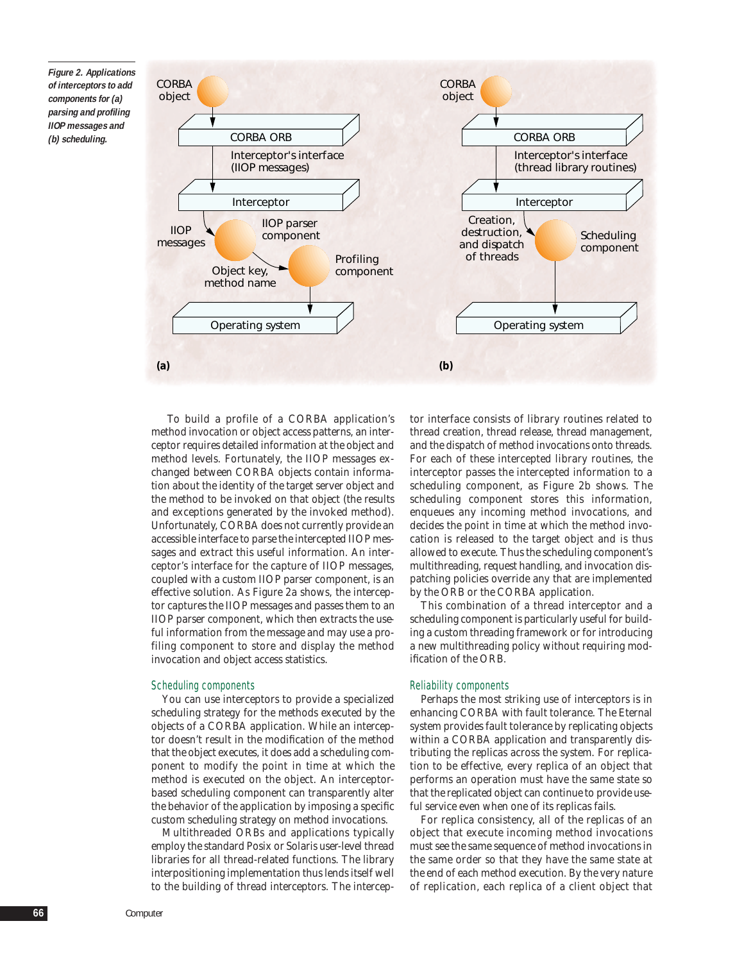



To build a profile of a CORBA application's method invocation or object access patterns, an interceptor requires detailed information at the object and method levels. Fortunately, the IIOP messages exchanged between CORBA objects contain information about the identity of the target server object and the method to be invoked on that object (the results and exceptions generated by the invoked method). Unfortunately, CORBA does not currently provide an accessible interface to parse the intercepted IIOP messages and extract this useful information. An interceptor's interface for the capture of IIOP messages, coupled with a custom IIOP parser component, is an effective solution. As Figure 2a shows, the interceptor captures the IIOP messages and passes them to an IIOP parser component, which then extracts the useful information from the message and may use a profiling component to store and display the method invocation and object access statistics.

#### Scheduling components

You can use interceptors to provide a specialized scheduling strategy for the methods executed by the objects of a CORBA application. While an interceptor doesn't result in the modification of the method that the object executes, it does add a scheduling component to modify the point in time at which the method is executed on the object. An interceptorbased scheduling component can transparently alter the behavior of the application by imposing a specific custom scheduling strategy on method invocations.

Multithreaded ORBs and applications typically employ the standard Posix or Solaris user-level thread libraries for all thread-related functions. The library interpositioning implementation thus lends itself well to the building of thread interceptors. The interceptor interface consists of library routines related to thread creation, thread release, thread management, and the dispatch of method invocations onto threads. For each of these intercepted library routines, the interceptor passes the intercepted information to a scheduling component, as Figure 2b shows. The scheduling component stores this information, enqueues any incoming method invocations, and decides the point in time at which the method invocation is released to the target object and is thus allowed to execute. Thus the scheduling component's multithreading, request handling, and invocation dispatching policies override any that are implemented by the ORB or the CORBA application.

This combination of a thread interceptor and a scheduling component is particularly useful for building a custom threading framework or for introducing a new multithreading policy without requiring modification of the ORB.

#### Reliability components

Perhaps the most striking use of interceptors is in enhancing CORBA with fault tolerance. The Eternal system provides fault tolerance by replicating objects within a CORBA application and transparently distributing the replicas across the system. For replication to be effective, every replica of an object that performs an operation must have the same state so that the replicated object can continue to provide useful service even when one of its replicas fails.

For replica consistency, all of the replicas of an object that execute incoming method invocations must see the same sequence of method invocations in the same order so that they have the same state at the end of each method execution. By the very nature of replication, each replica of a client object that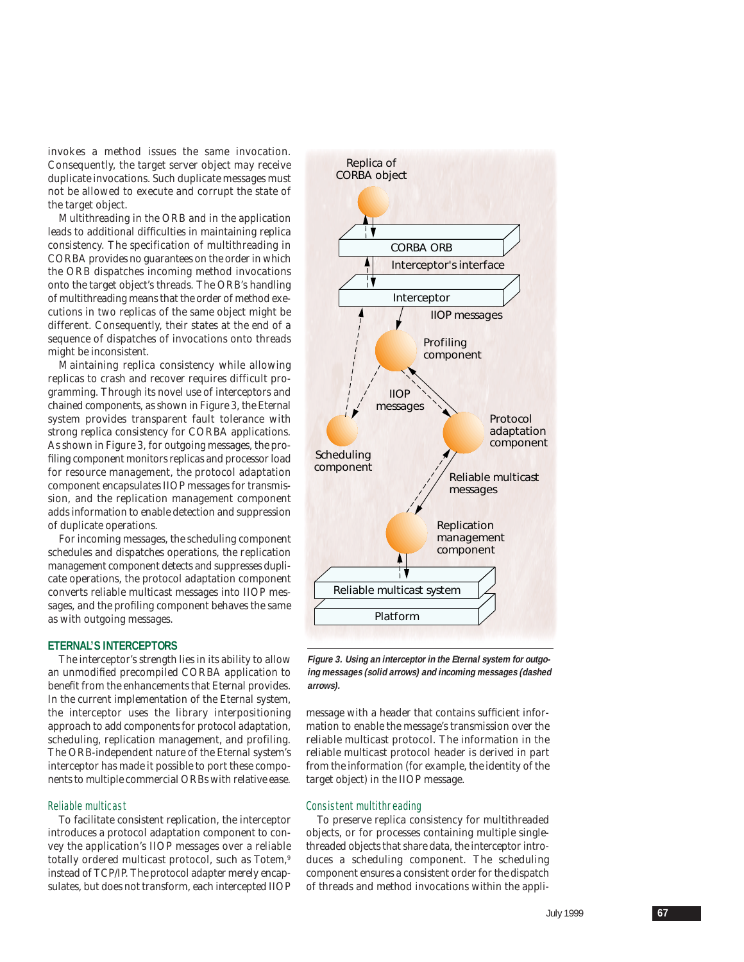invokes a method issues the same invocation. Consequently, the target server object may receive duplicate invocations. Such duplicate messages must not be allowed to execute and corrupt the state of the target object.

Multithreading in the ORB and in the application leads to additional difficulties in maintaining replica consistency. The specification of multithreading in CORBA provides no guarantees on the order in which the ORB dispatches incoming method invocations onto the target object's threads. The ORB's handling of multithreading means that the order of method executions in two replicas of the same object might be different. Consequently, their states at the end of a sequence of dispatches of invocations onto threads might be inconsistent.

Maintaining replica consistency while allowing replicas to crash and recover requires difficult programming. Through its novel use of interceptors and chained components, as shown in Figure 3, the Eternal system provides transparent fault tolerance with strong replica consistency for CORBA applications. As shown in Figure 3, for outgoing messages, the profiling component monitors replicas and processor load for resource management, the protocol adaptation component encapsulates IIOP messages for transmission, and the replication management component adds information to enable detection and suppression of duplicate operations.

For incoming messages, the scheduling component schedules and dispatches operations, the replication management component detects and suppresses duplicate operations, the protocol adaptation component converts reliable multicast messages into IIOP messages, and the profiling component behaves the same as with outgoing messages.

# **ETERNAL'S INTERCEPTORS**

The interceptor's strength lies in its ability to allow an unmodified precompiled CORBA application to benefit from the enhancements that Eternal provides. In the current implementation of the Eternal system, the interceptor uses the library interpositioning approach to add components for protocol adaptation, scheduling, replication management, and profiling. The ORB-independent nature of the Eternal system's interceptor has made it possible to port these components to multiple commercial ORBs with relative ease.

#### Reliable multicast

To facilitate consistent replication, the interceptor introduces a protocol adaptation component to convey the application's IIOP messages over a reliable totally ordered multicast protocol, such as Totem,<sup>9</sup> instead of TCP/IP. The protocol adapter merely encapsulates, but does not transform, each intercepted IIOP



**Figure 3. Using an interceptor in the Eternal system for outgoing messages (solid arrows) and incoming messages (dashed arrows).** 

message with a header that contains sufficient information to enable the message's transmission over the reliable multicast protocol. The information in the reliable multicast protocol header is derived in part from the information (for example, the identity of the target object) in the IIOP message.

#### Consistent multithreading

To preserve replica consistency for multithreaded objects, or for processes containing multiple singlethreaded objects that share data, the interceptor introduces a scheduling component. The scheduling component ensures a consistent order for the dispatch of threads and method invocations within the appli